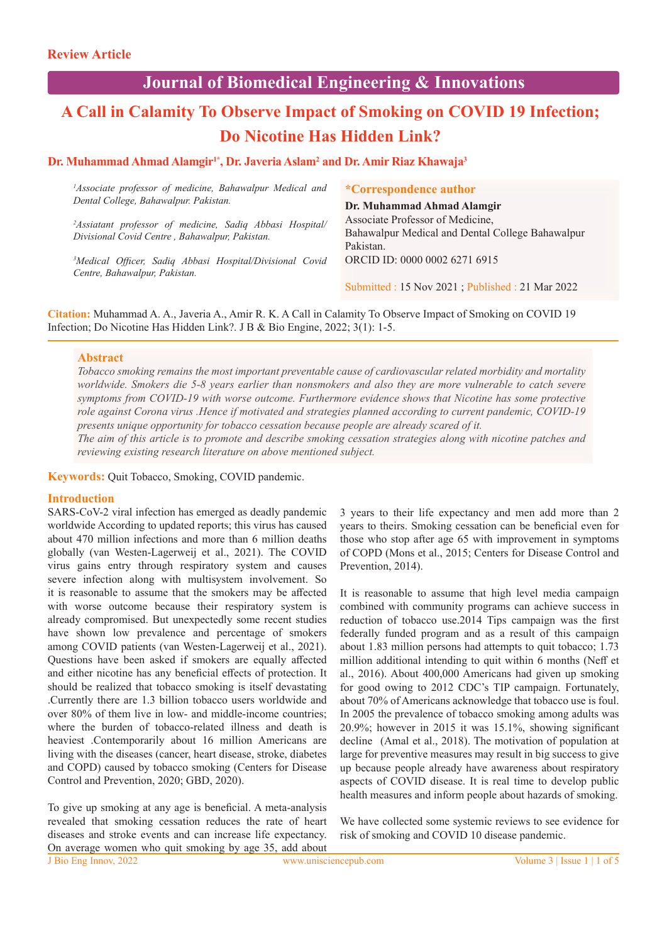## **Journal of Biomedical Engineering & Innovations**

# **A Call in Calamity To Observe Impact of Smoking on COVID 19 Infection; Do Nicotine Has Hidden Link?**

## **Dr. Muhammad Ahmad Alamgir1\*, Dr. Javeria Aslam2 and Dr. Amir Riaz Khawaja3**

| <sup>1</sup> Associate professor of medicine, Bahawalpur Medical and | <i>*Correspondence author</i>                    |
|----------------------------------------------------------------------|--------------------------------------------------|
| Dental College, Bahawalpur. Pakistan.                                | Dr. Muhammad Ahmad Alamgir                       |
| <sup>2</sup> Assiatant professor of medicine, Sadiq Abbasi Hospital/ | Associate Professor of Medicine,                 |
| Divisional Covid Centre, Bahawalpur, Pakistan.                       | Bahawalpur Medical and Dental College Bahawalpur |
|                                                                      | Pakistan.                                        |
| <sup>3</sup> Medical Officer, Sadiq Abbasi Hospital/Divisional Covid | ORCID ID: 0000 0002 6271 6915                    |
| Centre, Bahawalpur, Pakistan.                                        |                                                  |
|                                                                      | Submitted : 15 Nov 2021; Published : 21 Mar 2022 |

**Citation:** Muhammad A. A., Javeria A., Amir R. K. A Call in Calamity To Observe Impact of Smoking on COVID 19 Infection; Do Nicotine Has Hidden Link?. J B & Bio Engine, 2022; 3(1): 1-5.

#### **Abstract**

*Tobacco smoking remains the most important preventable cause of cardiovascular related morbidity and mortality worldwide. Smokers die 5-8 years earlier than nonsmokers and also they are more vulnerable to catch severe symptoms from COVID-19 with worse outcome. Furthermore evidence shows that Nicotine has some protective role against Corona virus .Hence if motivated and strategies planned according to current pandemic, COVID-19 presents unique opportunity for tobacco cessation because people are already scared of it.*

*The aim of this article is to promote and describe smoking cessation strategies along with nicotine patches and reviewing existing research literature on above mentioned subject.*

**Keywords:** Quit Tobacco, Smoking, COVID pandemic.

#### **Introduction**

SARS-CoV-2 viral infection has emerged as deadly pandemic worldwide According to updated reports; this virus has caused about 470 million infections and more than 6 million deaths globally (van Westen-Lagerweij et al., 2021). The COVID virus gains entry through respiratory system and causes severe infection along with multisystem involvement. So it is reasonable to assume that the smokers may be affected with worse outcome because their respiratory system is already compromised. But unexpectedly some recent studies have shown low prevalence and percentage of smokers among COVID patients (van Westen-Lagerweij et al., 2021). Questions have been asked if smokers are equally affected and either nicotine has any beneficial effects of protection. It should be realized that tobacco smoking is itself devastating .Currently there are 1.3 billion tobacco users worldwide and over 80% of them live in low- and middle-income countries; where the burden of tobacco-related illness and death is heaviest .Contemporarily about 16 million Americans are living with the diseases (cancer, heart disease, stroke, diabetes and COPD) caused by tobacco smoking (Centers for Disease Control and Prevention, 2020; GBD, 2020).

To give up smoking at any age is beneficial. A meta-analysis revealed that smoking cessation reduces the rate of heart diseases and stroke events and can increase life expectancy. On average women who quit smoking by age 35, add about

years to theirs. Smoking cessation can be beneficial even for those who stop after age 65 with improvement in symptoms of COPD (Mons et al., 2015; Centers for Disease Control and Prevention, 2014).

3 years to their life expectancy and men add more than 2

It is reasonable to assume that high level media campaign combined with community programs can achieve success in reduction of tobacco use.2014 Tips campaign was the first federally funded program and as a result of this campaign about 1.83 million persons had attempts to quit tobacco; 1.73 million additional intending to quit within 6 months (Neff et al., 2016). About 400,000 Americans had given up smoking for good owing to 2012 CDC's TIP campaign. Fortunately, about 70% of Americans acknowledge that tobacco use is foul. In 2005 the prevalence of tobacco smoking among adults was 20.9%; however in 2015 it was 15.1%, showing significant decline (Amal et al., 2018). The motivation of population at large for preventive measures may result in big success to give up because people already have awareness about respiratory aspects of COVID disease. It is real time to develop public health measures and inform people about hazards of smoking.

We have collected some systemic reviews to see evidence for risk of smoking and COVID 10 disease pandemic.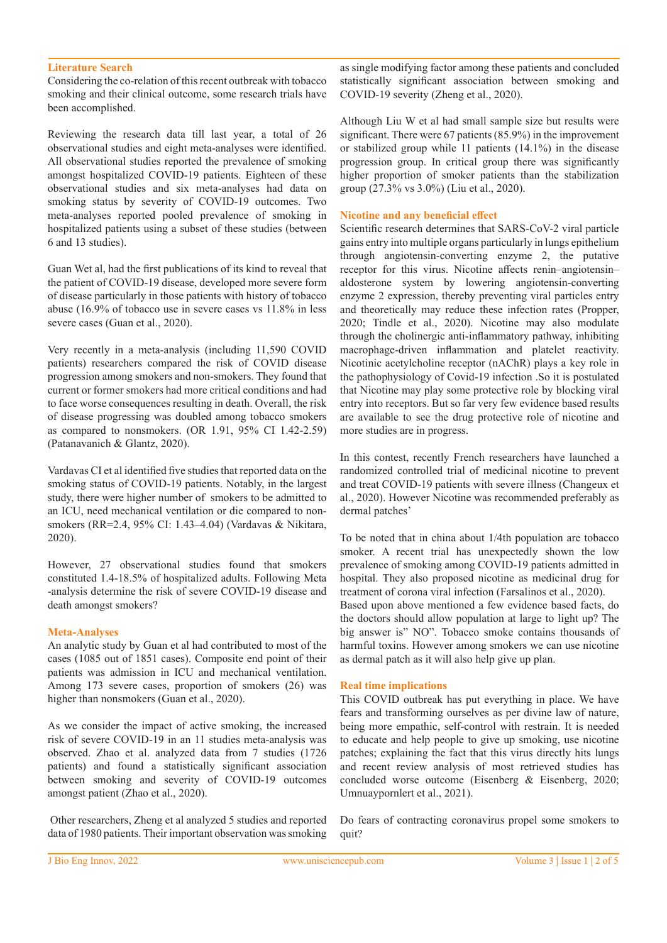#### **Literature Search**

Considering the co-relation of this recent outbreak with tobacco smoking and their clinical outcome, some research trials have been accomplished.

Reviewing the research data till last year, a total of 26 observational studies and eight meta-analyses were identified. All observational studies reported the prevalence of smoking amongst hospitalized COVID-19 patients. Eighteen of these observational studies and six meta-analyses had data on smoking status by severity of COVID-19 outcomes. Two meta-analyses reported pooled prevalence of smoking in hospitalized patients using a subset of these studies (between 6 and 13 studies).

Guan Wet al, had the first publications of its kind to reveal that the patient of COVID-19 disease, developed more severe form of disease particularly in those patients with history of tobacco abuse (16.9% of tobacco use in severe cases vs 11.8% in less severe cases (Guan et al., 2020).

Very recently in a meta-analysis (including 11,590 COVID patients) researchers compared the risk of COVID disease progression among smokers and non-smokers. They found that current or former smokers had more critical conditions and had to face worse consequences resulting in death. Overall, the risk of disease progressing was doubled among tobacco smokers as compared to nonsmokers. (OR 1.91, 95% CI 1.42-2.59) (Patanavanich & Glantz, 2020).

Vardavas CI et al identified five studies that reported data on the smoking status of COVID-19 patients. Notably, in the largest study, there were higher number of smokers to be admitted to an ICU, need mechanical ventilation or die compared to nonsmokers (RR=2.4, 95% CI: 1.43–4.04) (Vardavas & Nikitara, 2020).

However, 27 observational studies found that smokers constituted 1.4-18.5% of hospitalized adults. Following Meta -analysis determine the risk of severe COVID-19 disease and death amongst smokers?

#### **Meta-Analyses**

An analytic study by Guan et al had contributed to most of the cases (1085 out of 1851 cases). Composite end point of their patients was admission in ICU and mechanical ventilation. Among 173 severe cases, proportion of smokers (26) was higher than nonsmokers (Guan et al., 2020).

As we consider the impact of active smoking, the increased risk of severe COVID-19 in an 11 studies meta-analysis was observed. Zhao et al. analyzed data from 7 studies (1726 patients) and found a statistically significant association between smoking and severity of COVID-19 outcomes amongst patient (Zhao et al., 2020).

 Other researchers, Zheng et al analyzed 5 studies and reported data of 1980 patients. Their important observation was smoking as single modifying factor among these patients and concluded statistically significant association between smoking and COVID-19 severity (Zheng et al., 2020).

Although Liu W et al had small sample size but results were significant. There were 67 patients (85.9%) in the improvement or stabilized group while 11 patients (14.1%) in the disease progression group. In critical group there was significantly higher proportion of smoker patients than the stabilization group (27.3% vs 3.0%) (Liu et al., 2020).

#### **Nicotine and any beneficial effect**

Scientific research determines that SARS-CoV-2 viral particle gains entry into multiple organs particularly in lungs epithelium through angiotensin-converting enzyme 2, the putative receptor for this virus. Nicotine affects renin–angiotensin– aldosterone system by lowering angiotensin-converting enzyme 2 expression, thereby preventing viral particles entry and theoretically may reduce these infection rates (Propper, 2020; Tindle et al., 2020). Nicotine may also modulate through the cholinergic anti-inflammatory pathway, inhibiting macrophage-driven inflammation and platelet reactivity. Nicotinic acetylcholine receptor (nAChR) plays a key role in the pathophysiology of Covid-19 infection .So it is postulated that Nicotine may play some protective role by blocking viral entry into receptors. But so far very few evidence based results are available to see the drug protective role of nicotine and more studies are in progress.

In this contest, recently French researchers have launched a randomized controlled trial of medicinal nicotine to prevent and treat COVID-19 patients with severe illness (Changeux et al., 2020). However Nicotine was recommended preferably as dermal patches'

To be noted that in china about 1/4th population are tobacco smoker. A recent trial has unexpectedly shown the low prevalence of smoking among COVID-19 patients admitted in hospital. They also proposed nicotine as medicinal drug for treatment of corona viral infection (Farsalinos et al., 2020).

Based upon above mentioned a few evidence based facts, do the doctors should allow population at large to light up? The big answer is" NO". Tobacco smoke contains thousands of harmful toxins. However among smokers we can use nicotine as dermal patch as it will also help give up plan.

#### **Real time implications**

This COVID outbreak has put everything in place. We have fears and transforming ourselves as per divine law of nature, being more empathic, self-control with restrain. It is needed to educate and help people to give up smoking, use nicotine patches; explaining the fact that this virus directly hits lungs and recent review analysis of most retrieved studies has concluded worse outcome (Eisenberg & Eisenberg, 2020; Umnuaypornlert et al., 2021).

Do fears of contracting coronavirus propel some smokers to quit?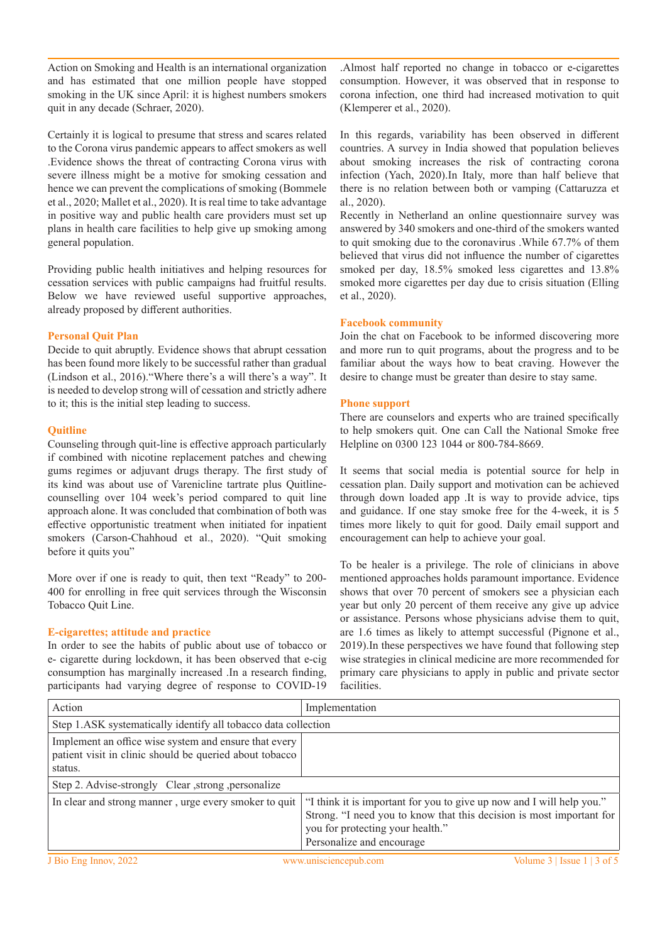Action on Smoking and Health is an international organization and has estimated that one million people have stopped smoking in the UK since April: it is highest numbers smokers quit in any decade (Schraer, 2020).

Certainly it is logical to presume that stress and scares related to the Corona virus pandemic appears to affect smokers as well .Evidence shows the threat of contracting Corona virus with severe illness might be a motive for smoking cessation and hence we can prevent the complications of smoking (Bommele et al., 2020; Mallet et al., 2020). It is real time to take advantage in positive way and public health care providers must set up plans in health care facilities to help give up smoking among general population.

Providing public health initiatives and helping resources for cessation services with public campaigns had fruitful results. Below we have reviewed useful supportive approaches, already proposed by different authorities.

## **Personal Quit Plan**

Decide to quit abruptly. Evidence shows that abrupt cessation has been found more likely to be successful rather than gradual (Lindson et al., 2016)."Where there's a will there's a way". It is needed to develop strong will of cessation and strictly adhere to it; this is the initial step leading to success.

#### **Quitline**

Counseling through quit-line is effective approach particularly if combined with nicotine replacement patches and chewing gums regimes or adjuvant drugs therapy. The first study of its kind was about use of Varenicline tartrate plus Quitlinecounselling over 104 week's period compared to quit line approach alone. It was concluded that combination of both was effective opportunistic treatment when initiated for inpatient smokers (Carson-Chahhoud et al., 2020). "Quit smoking before it quits you"

More over if one is ready to quit, then text "Ready" to 200- 400 for enrolling in free quit services through the Wisconsin Tobacco Quit Line.

## **E-cigarettes; attitude and practice**

In order to see the habits of public about use of tobacco or e- cigarette during lockdown, it has been observed that e-cig consumption has marginally increased .In a research finding, participants had varying degree of response to COVID-19 .Almost half reported no change in tobacco or e-cigarettes consumption. However, it was observed that in response to corona infection, one third had increased motivation to quit (Klemperer et al., 2020).

In this regards, variability has been observed in different countries. A survey in India showed that population believes about smoking increases the risk of contracting corona infection (Yach, 2020).In Italy, more than half believe that there is no relation between both or vamping (Cattaruzza et al., 2020).

Recently in Netherland an online questionnaire survey was answered by 340 smokers and one-third of the smokers wanted to quit smoking due to the coronavirus .While 67.7% of them believed that virus did not influence the number of cigarettes smoked per day, 18.5% smoked less cigarettes and 13.8% smoked more cigarettes per day due to crisis situation (Elling et al., 2020).

## **Facebook community**

Join the chat on Facebook to be informed discovering more and more run to quit programs, about the progress and to be familiar about the ways how to beat craving. However the desire to change must be greater than desire to stay same.

## **Phone support**

There are counselors and experts who are trained specifically to help smokers quit. One can Call the National Smoke free Helpline on 0300 123 1044 or 800-784-8669.

It seems that social media is potential source for help in cessation plan. Daily support and motivation can be achieved through down loaded app .It is way to provide advice, tips and guidance. If one stay smoke free for the 4-week, it is 5 times more likely to quit for good. Daily email support and encouragement can help to achieve your goal.

To be healer is a privilege. The role of clinicians in above mentioned approaches holds paramount importance. Evidence shows that over 70 percent of smokers see a physician each year but only 20 percent of them receive any give up advice or assistance. Persons whose physicians advise them to quit, are 1.6 times as likely to attempt successful (Pignone et al., 2019).In these perspectives we have found that following step wise strategies in clinical medicine are more recommended for primary care physicians to apply in public and private sector facilities.

| Action                                                                                                                      | Implementation                                                                                                                                                                                                 |
|-----------------------------------------------------------------------------------------------------------------------------|----------------------------------------------------------------------------------------------------------------------------------------------------------------------------------------------------------------|
| Step 1.ASK systematically identify all tobacco data collection                                                              |                                                                                                                                                                                                                |
| Implement an office wise system and ensure that every<br>patient visit in clinic should be queried about tobacco<br>status. |                                                                                                                                                                                                                |
| Step 2. Advise-strongly Clear, strong, personalize                                                                          |                                                                                                                                                                                                                |
| In clear and strong manner, urge every smoker to quit                                                                       | "I think it is important for you to give up now and I will help you."<br>Strong. "I need you to know that this decision is most important for<br>you for protecting your health."<br>Personalize and encourage |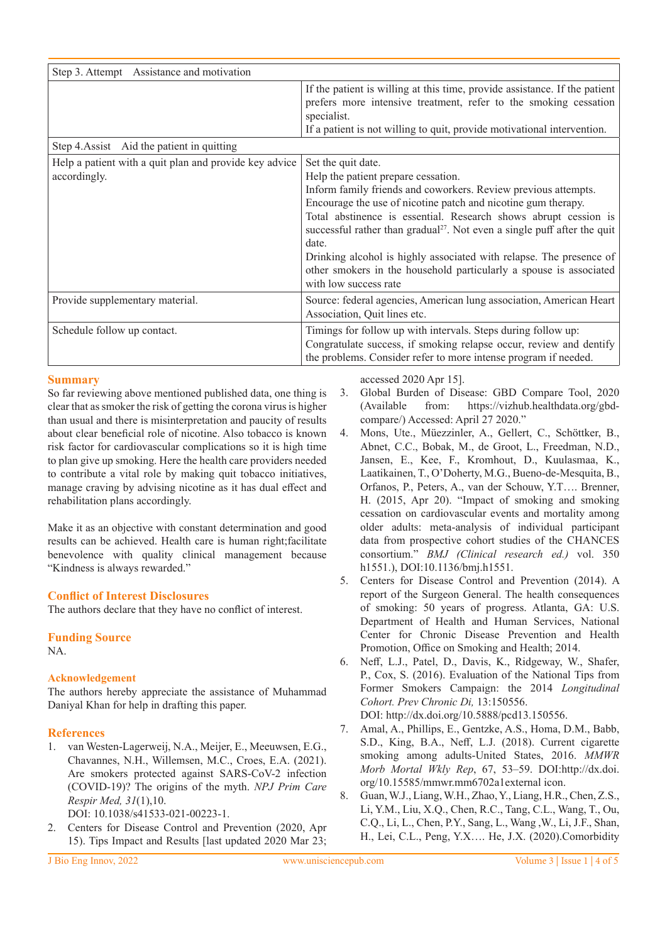| Step 3. Attempt Assistance and motivation                              |                                                                                                                                                                                                                                                                                                                                                                                                                                                                                                                                        |
|------------------------------------------------------------------------|----------------------------------------------------------------------------------------------------------------------------------------------------------------------------------------------------------------------------------------------------------------------------------------------------------------------------------------------------------------------------------------------------------------------------------------------------------------------------------------------------------------------------------------|
|                                                                        | If the patient is willing at this time, provide assistance. If the patient<br>prefers more intensive treatment, refer to the smoking cessation<br>specialist.<br>If a patient is not willing to quit, provide motivational intervention.                                                                                                                                                                                                                                                                                               |
| Step 4. Assist Aid the patient in quitting                             |                                                                                                                                                                                                                                                                                                                                                                                                                                                                                                                                        |
| Help a patient with a quit plan and provide key advice<br>accordingly. | Set the quit date.<br>Help the patient prepare cessation.<br>Inform family friends and coworkers. Review previous attempts.<br>Encourage the use of nicotine patch and nicotine gum therapy.<br>Total abstinence is essential. Research shows abrupt cession is<br>successful rather than gradual <sup>27</sup> . Not even a single puff after the quit<br>date.<br>Drinking alcohol is highly associated with relapse. The presence of<br>other smokers in the household particularly a spouse is associated<br>with low success rate |
| Provide supplementary material.                                        | Source: federal agencies, American lung association, American Heart<br>Association, Quit lines etc.                                                                                                                                                                                                                                                                                                                                                                                                                                    |
| Schedule follow up contact.                                            | Timings for follow up with intervals. Steps during follow up:<br>Congratulate success, if smoking relapse occur, review and dentify<br>the problems. Consider refer to more intense program if needed.                                                                                                                                                                                                                                                                                                                                 |

#### **Summary**

So far reviewing above mentioned published data, one thing is clear that as smoker the risk of getting the corona virus is higher than usual and there is misinterpretation and paucity of results about clear beneficial role of nicotine. Also tobacco is known risk factor for cardiovascular complications so it is high time to plan give up smoking. Here the health care providers needed to contribute a vital role by making quit tobacco initiatives, manage craving by advising nicotine as it has dual effect and rehabilitation plans accordingly.

Make it as an objective with constant determination and good results can be achieved. Health care is human right;facilitate benevolence with quality clinical management because "Kindness is always rewarded."

## **Conflict of Interest Disclosures**

The authors declare that they have no conflict of interest.

## **Funding Source**

NA.

## **Acknowledgement**

The authors hereby appreciate the assistance of Muhammad Daniyal Khan for help in drafting this paper.

## **References**

1. van Westen-Lagerweij, N.A., Meijer, E., Meeuwsen, E.G., Chavannes, N.H., Willemsen, M.C., Croes, E.A. (2021). Are smokers protected against SARS-CoV-2 infection (COVID-19)? The origins of the myth. *NPJ Prim Care Respir Med, 31*(1),10.

DOI: 10.1038/s41533-021-00223-1.

2. Centers for Disease Control and Prevention (2020, Apr 15). Tips Impact and Results [last updated 2020 Mar 23;

accessed 2020 Apr 15].

- 3. Global Burden of Disease: GBD Compare Tool, 2020 (Available from: https://vizhub.healthdata.org/gbdcompare/) Accessed: April 27 2020."
- 4. Mons, Ute., Müezzinler, A., Gellert, C., Schöttker, B., Abnet, C.C., Bobak, M., de Groot, L., Freedman, N.D., Jansen, E., Kee, F., Kromhout, D., Kuulasmaa, K., Laatikainen, T., O'Doherty, M.G., Bueno-de-Mesquita, B., Orfanos, P., Peters, A., van der Schouw, Y.T…. Brenner, H. (2015, Apr 20). "Impact of smoking and smoking cessation on cardiovascular events and mortality among older adults: meta-analysis of individual participant data from prospective cohort studies of the CHANCES consortium." *BMJ (Clinical research ed.)* vol. 350 h1551.), DOI:10.1136/bmj.h1551.
- 5. Centers for Disease Control and Prevention (2014). A report of the Surgeon General. The health consequences of smoking: 50 years of progress. Atlanta, GA: U.S. Department of Health and Human Services, National Center for Chronic Disease Prevention and Health Promotion, Office on Smoking and Health; 2014.
- 6. Neff, L.J., Patel, D., Davis, K., Ridgeway, W., Shafer, P., Cox, S. (2016). Evaluation of the National Tips from Former Smokers Campaign: the 2014 *Longitudinal Cohort. Prev Chronic Di,* 13:150556. DOI: http://dx.doi.org/10.5888/pcd13.150556.
- 7. Amal, A., Phillips, E., Gentzke, A.S., Homa, D.M., Babb, S.D., King, B.A., Neff, L.J. (2018). Current cigarette smoking among adults-United States, 2016. *MMWR Morb Mortal Wkly Rep*, 67, 53–59. DOI:http://dx.doi. org/10.15585/mmwr.mm6702a1external icon.
- 8. Guan, W.J., Liang, W.H., Zhao, Y., Liang, H.R., Chen, Z.S., Li, Y.M., Liu, X.Q., Chen, R.C., Tang, C.L., Wang, T., Ou, C.Q., Li, L., Chen, P.Y., Sang, L., Wang ,W., Li, J.F., Shan, H., Lei, C.L., Peng, Y.X…. He, J.X. (2020).Comorbidity